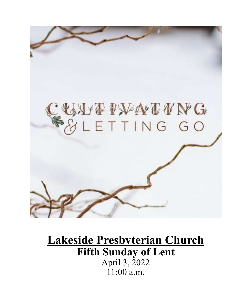

# **Lakeside Presbyterian Church Fifth Sunday of Lent** April 3, 2022  $11:00$  a.m.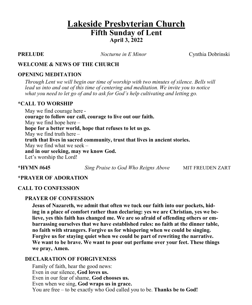# **Lakeside Presbyterian Church Fifth Sunday of Lent April 3, 2022**

**PRELUDE** *Nocturne in E Minor*Cynthia Dobrinski

#### **WELCOME & NEWS OF THE CHURCH**

#### **OPENING MEDITATION**

*Through Lent we will begin our time of worship with two minutes of silence. Bells will lead us into and out of this time of centering and meditation. We invite you to notice what you need to let go of and to ask for God's help cultivating and letting go.*

#### **\*CALL TO WORSHIP**

May we find courage here **courage to follow our call, courage to live out our faith.** May we find hope here – **hope for a better world, hope that refuses to let us go.** May we find truth here – **truth that lives in sacred community, trust that lives in ancient stories.** May we find what we seek  $$ **and in our seeking, may we know God.**  Let's worship the Lord!

**\*HYMN #645** *Sing Praise to God Who Reigns Above* MIT FREUDEN ZART

#### **\*PRAYER OF ADORATION**

#### **CALL TO CONFESSION**

#### **PRAYER OF CONFESSION**

**Jesus of Nazareth, we admit that often we tuck our faith into our pockets, hiding in a place of comfort rather than declaring: yes we are Christian, yes we believe, yes this faith has changed me. We are so afraid of offending others or embarrassing ourselves that we have established rules: no faith at the dinner table, no faith with strangers. Forgive us for whispering when we could be singing. Forgive us for staying quiet when we could be part of rewriting the narrative. We want to be brave. We want to pour out perfume over your feet. These things we pray, Amen.**

#### **DECLARATION OF FORGIVENESS**

Family of faith, hear the good news: Even in our silence, **God loves us.** Even in our fear of shame, **God chooses us.** Even when we sing, **God wraps us in grace.** You are free – to be exactly who God called you to be. **Thanks be to God!**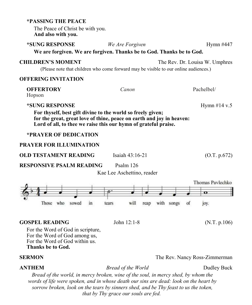| The Peace of Christ be with you.<br>And also with you.                                                                                                                                                                                                                    |                       |                                                   |
|---------------------------------------------------------------------------------------------------------------------------------------------------------------------------------------------------------------------------------------------------------------------------|-----------------------|---------------------------------------------------|
| *SUNG RESPONSE<br>We are forgiven. We are forgiven. Thanks be to God. Thanks be to God.                                                                                                                                                                                   | We Are Forgiven       | Hymn #447                                         |
| <b>CHILDREN'S MOMENT</b><br>(Please note that children who come forward may be visible to our online audiences.)                                                                                                                                                          |                       | The Rev. Dr. Louisa W. Umphres                    |
| <b>OFFERING INVITATION</b>                                                                                                                                                                                                                                                |                       |                                                   |
| <b>OFFERTORY</b><br>Hopson                                                                                                                                                                                                                                                | Canon                 | Pachelbel/                                        |
| *SUNG RESPONSE<br>Hymn #14 v.5<br>For thyself, best gift divine to the world so freely given;<br>for the great, great love of thine, peace on earth and joy in heaven:<br>Lord of all, to thee we raise this our hymn of grateful praise.<br><b>*PRAYER OF DEDICATION</b> |                       |                                                   |
| <b>PRAYER FOR ILLUMINATION</b>                                                                                                                                                                                                                                            |                       |                                                   |
| <b>OLD TESTAMENT READING</b>                                                                                                                                                                                                                                              | Isaiah $43:16-21$     | (O.T. p.672)                                      |
| <b>RESPONSIVE PSALM READING</b><br>Psalm 126<br>Kae Lee Aschettino, reader                                                                                                                                                                                                |                       |                                                   |
| who<br>in<br>Those<br>sowed                                                                                                                                                                                                                                               | will<br>reap<br>tears | Thomas Pavlechko<br>о<br>with songs<br>of<br>joy. |
| <b>GOSPEL READING</b><br>For the Word of God in scripture,<br>For the Word of God among us,<br>For the Word of God within us.<br><b>Thanks be to God.</b>                                                                                                                 | John 12:1-8           | (N.T. p.106)                                      |
| <b>SERMON</b>                                                                                                                                                                                                                                                             |                       | The Rev. Nancy Ross-Zimmerman                     |
| <b>ANTHEM</b>                                                                                                                                                                                                                                                             | Bread of the World    | Dudley Buck                                       |

**\*PASSING THE PEACE**

*Bread of the world, in mercy broken, wine of the soul, in mercy shed, by whom the words of life were spoken, and in whose death our sins are dead: look on the heart by sorrow broken, look on the tears by sinners shed, and be Thy feast to us the token, that by Thy grace our souls are fed.*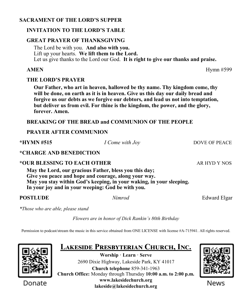#### **SACRAMENT OF THE LORD'S SUPPER**

#### **INVITATION TO THE LORD'S TABLE**

#### **GREAT PRAYER OF THANKSGIVING**

The Lord be with you. **And also with you.** Lift up your hearts. **We lift them to the Lord.** Let us give thanks to the Lord our God. **It is right to give our thanks and praise.**

#### **AMEN** Hymn #599

#### **THE LORD'S PRAYER**

**Our Father, who art in heaven, hallowed be thy name. Thy kingdom come, thy will be done, on earth as it is in heaven. Give us this day our daily bread and forgive us our debts as we forgive our debtors, and lead us not into temptation, but deliver us from evil. For thine is the kingdom, the power, and the glory, forever. Amen.**

#### **BREAKING OF THE BREAD and COMMUNION OF THE PEOPLE**

#### **PRAYER AFTER COMMUNION**

**\*HYMN #515** *I Come with Joy* DOVE OF PEACE

#### **\*CHARGE AND BENEDICTION**

#### **\*OUR BLESSING TO EACH OTHER AR HYD Y NOS**

**May the Lord, our gracious Father, bless you this day; Give you peace and hope and courage, along your way. May you stay within God's keeping, in your waking, in your sleeping. In your joy and in your weeping: God be with you.**

#### **POSTLUDE** *Nimrod Edward Elgar*

*\*Those who are able, please stand*

*Flowers are in honor of Dick Rankin's 80th Birthday*

Permission to podcast/stream the music in this service obtained from ONE LICENSE with license #A-715941. All rights reserved.



Donate

**Lakeside Presbyterian Church, Inc. Worship · Learn · Serve** 2690 Dixie Highway, Lakeside Park, KY 41017 **Church telephone** 859-341-1963 **Church Office:** Monday through Thursday **10:00 a.m. to 2:00 p.m. www.lakesidechurch.org lakeside@lakesidechurch.org**



News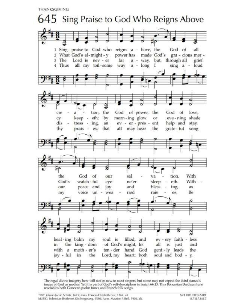THANKSGIVING



The regal divine imagery here will not be new to most singers, but some may not expect the third stanza's image of God as mother. Yet it is part of God's self-description in Isaiah 66:13. This Bohemian Brethren tune<br>resembles both Genevan psalm tunes and French folk songs.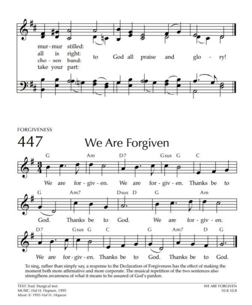



To sing, rather than simply say, a response to the Declaration of Forgiveness has the effect of making the moment both more affirmative and more corporate. The musical repetition of the two sentences also strengthens awareness of what it means to be assured of God's pardon.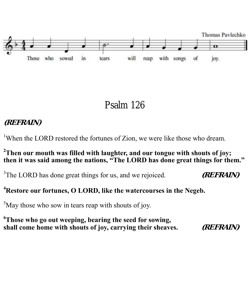

Psalm 126

# **(REFRAIN)**

<sup>1</sup>When the LORD restored the fortunes of Zion, we were like those who dream.

### **<sup>2</sup>Then our mouth was filled with laughter, and our tongue with shouts of joy; then it was said among the nations, "The LORD has done great things for them."**

<sup>3</sup>The LORD has done great things for us, and we rejoiced. (*REFRAIN*)

# **<sup>4</sup>Restore our fortunes, O LORD, like the watercourses in the Negeb.**

 $5$ May those who sow in tears reap with shouts of joy.

**<sup>6</sup>Those who go out weeping, bearing the seed for sowing, shall come home with shouts of joy, carrying their sheaves. (REFRAIN)**